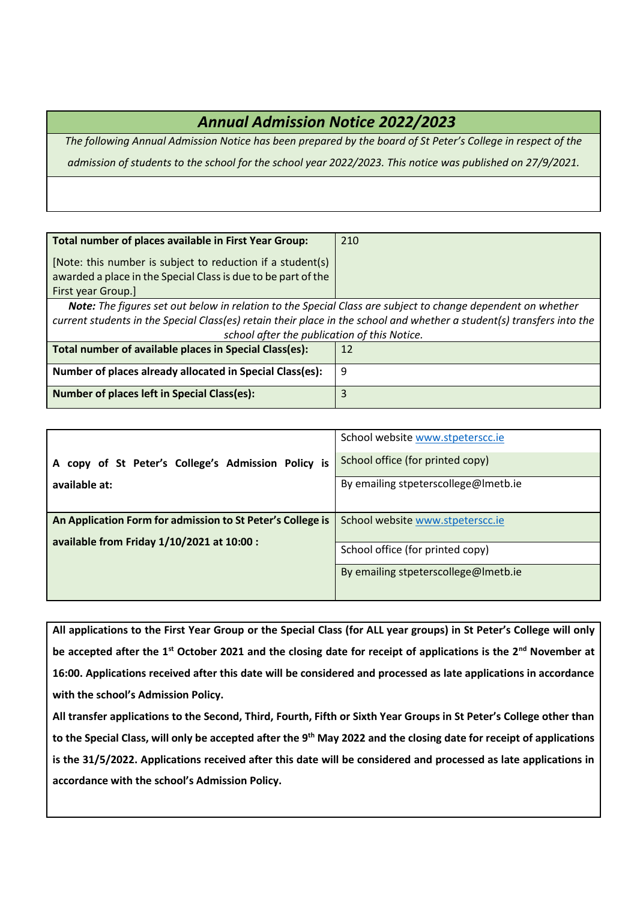## *Annual Admission Notice 2022/2023*

*The following Annual Admission Notice has been prepared by the board of St Peter's College in respect of the admission of students to the school for the school year 2022/2023. This notice was published on 27/9/2021.*

| Total number of places available in First Year Group:                                                                  | 210 |  |  |  |
|------------------------------------------------------------------------------------------------------------------------|-----|--|--|--|
| [Note: this number is subject to reduction if a student(s)                                                             |     |  |  |  |
| awarded a place in the Special Class is due to be part of the<br>First year Group.]                                    |     |  |  |  |
| <b>Note:</b> The figures set out below in relation to the Special Class are subject to change dependent on whether     |     |  |  |  |
| current students in the Special Class(es) retain their place in the school and whether a student(s) transfers into the |     |  |  |  |
| school after the publication of this Notice.                                                                           |     |  |  |  |
| Total number of available places in Special Class(es):                                                                 | 12  |  |  |  |
| Number of places already allocated in Special Class(es):                                                               | 9   |  |  |  |
| <b>Number of places left in Special Class(es):</b>                                                                     | 3   |  |  |  |

|                                                            | School website www.stpeterscc.ie     |  |
|------------------------------------------------------------|--------------------------------------|--|
| A copy of St Peter's College's Admission Policy is         | School office (for printed copy)     |  |
| available at:                                              | By emailing stpeterscollege@Imetb.ie |  |
|                                                            |                                      |  |
| An Application Form for admission to St Peter's College is | School website www.stpeterscc.ie     |  |
|                                                            |                                      |  |
| available from Friday 1/10/2021 at 10:00 :                 | School office (for printed copy)     |  |
|                                                            | By emailing stpeterscollege@Imetb.ie |  |
|                                                            |                                      |  |

**All applications to the First Year Group or the Special Class (for ALL year groups) in St Peter's College will only be accepted after the 1st October 2021 and the closing date for receipt of applications is the 2nd November at 16:00. Applications received after this date will be considered and processed as late applications in accordance with the school's Admission Policy.**

**All transfer applications to the Second, Third, Fourth, Fifth or Sixth Year Groups in St Peter's College other than to the Special Class, will only be accepted after the 9th May 2022 and the closing date for receipt of applications is the 31/5/2022. Applications received after this date will be considered and processed as late applications in accordance with the school's Admission Policy.**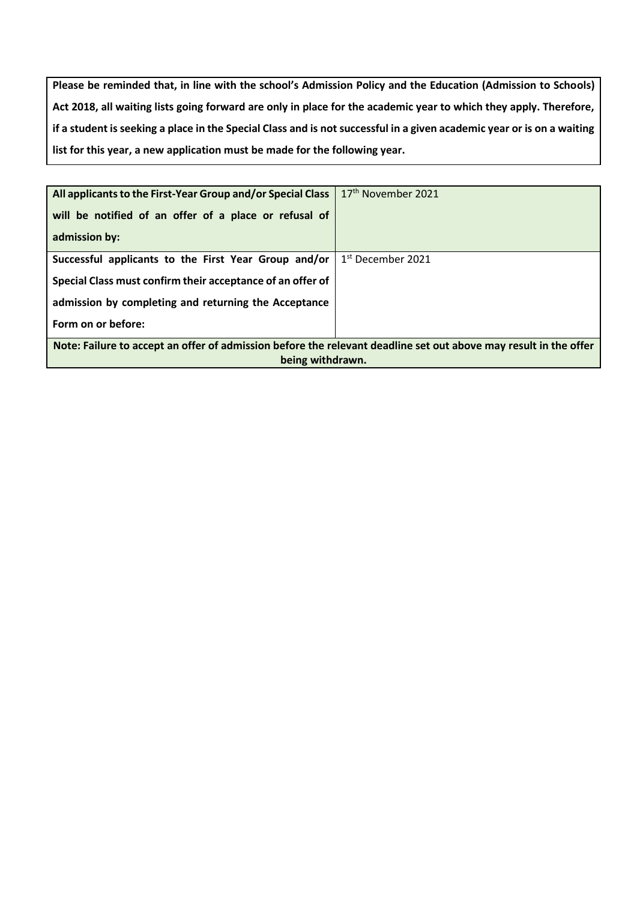**Please be reminded that, in line with the school's Admission Policy and the Education (Admission to Schools) Act 2018, all waiting lists going forward are only in place for the academic year to which they apply. Therefore, if a student is seeking a place in the Special Class and is not successful in a given academic year or is on a waiting list for this year, a new application must be made for the following year.**

| will be notified of an offer of a place or refusal of<br>admission by:                                                               |                     |  |  |  |
|--------------------------------------------------------------------------------------------------------------------------------------|---------------------|--|--|--|
| Successful applicants to the First Year Group and/or                                                                                 | $1st$ December 2021 |  |  |  |
| Special Class must confirm their acceptance of an offer of                                                                           |                     |  |  |  |
| admission by completing and returning the Acceptance                                                                                 |                     |  |  |  |
| Form on or before:                                                                                                                   |                     |  |  |  |
| Note: Failure to accept an offer of admission before the relevant deadline set out above may result in the offer<br>being withdrawn. |                     |  |  |  |